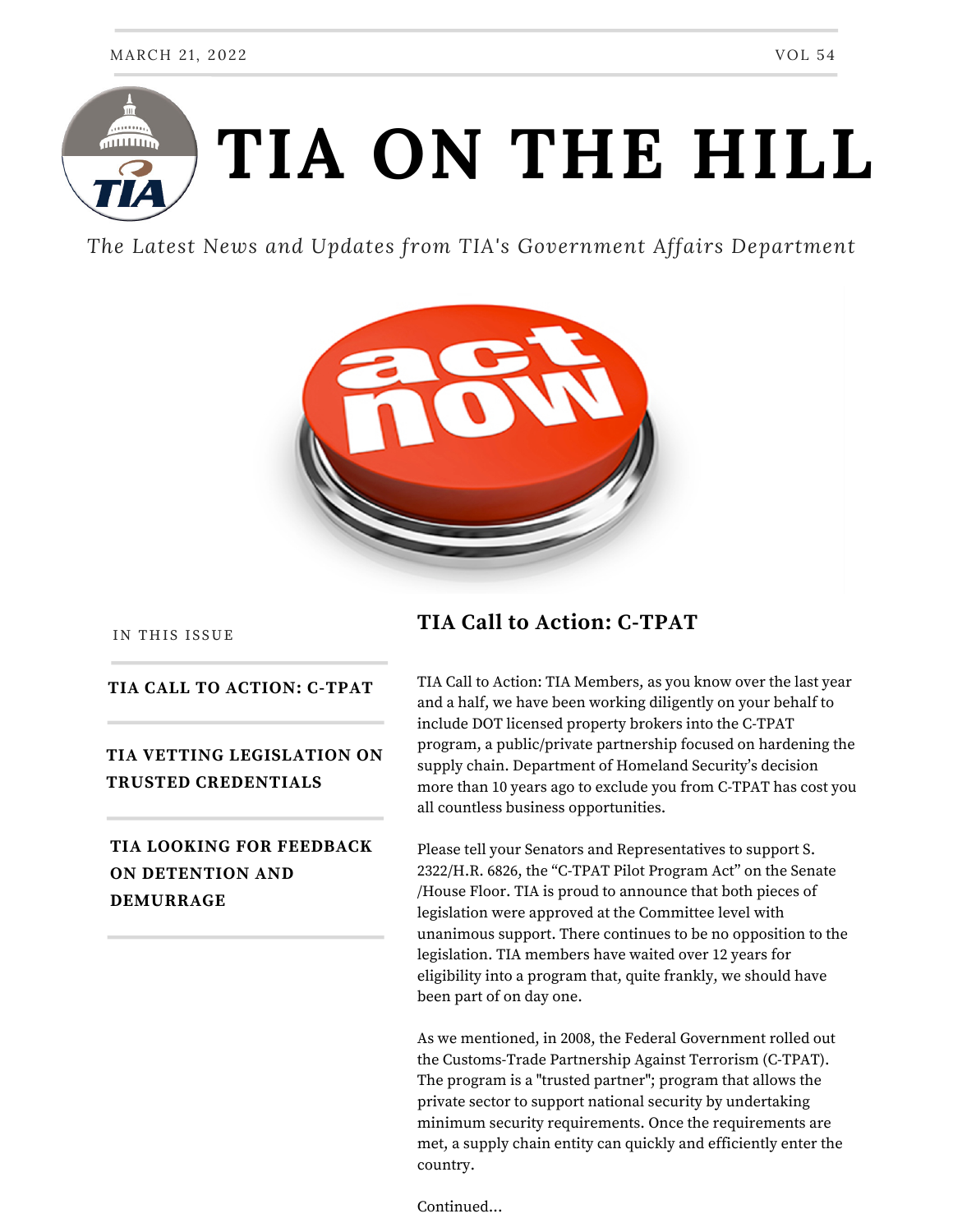# . . . . . **TIA ON THE HILL**  $\overline{111111111}$

*The Latest News and Updates from TIA's Government Affairs Department*



IN THIS ISSUE

#### **TIA CALL TO ACTION: C-TPAT**

#### **TIA VETTING LEGISLATION ON TRUSTED CREDENTIALS**

#### **TIA LOOKING FOR FEEDBACK ON DETENTION AND DEMURRAGE**

#### **TIA Call to Action: C-TPAT**

TIA Call to Action: TIA Members, as you know over the last year and a half, we have been working diligently on your behalf to include DOT licensed property brokers into the C-TPAT program, a public/private partnership focused on hardening the supply chain. Department of Homeland Security's decision more than 10 years ago to exclude you from C-TPAT has cost you all countless business opportunities.

Please tell your Senators and Representatives to support S. 2322/H.R. 6826, the "C-TPAT Pilot Program Act" on the Senate /House Floor. TIA is proud to announce that both pieces of legislation were approved at the Committee level with unanimous support. There continues to be no opposition to the legislation. TIA members have waited over 12 years for eligibility into a program that, quite frankly, we should have been part of on day one.

As we mentioned, in 2008, the Federal Government rolled out the Customs-Trade Partnership Against Terrorism (C-TPAT). The program is a "trusted partner"; program that allows the private sector to support national security by undertaking minimum security requirements. Once the requirements are met, a supply chain entity can quickly and efficiently enter the country.

Continued...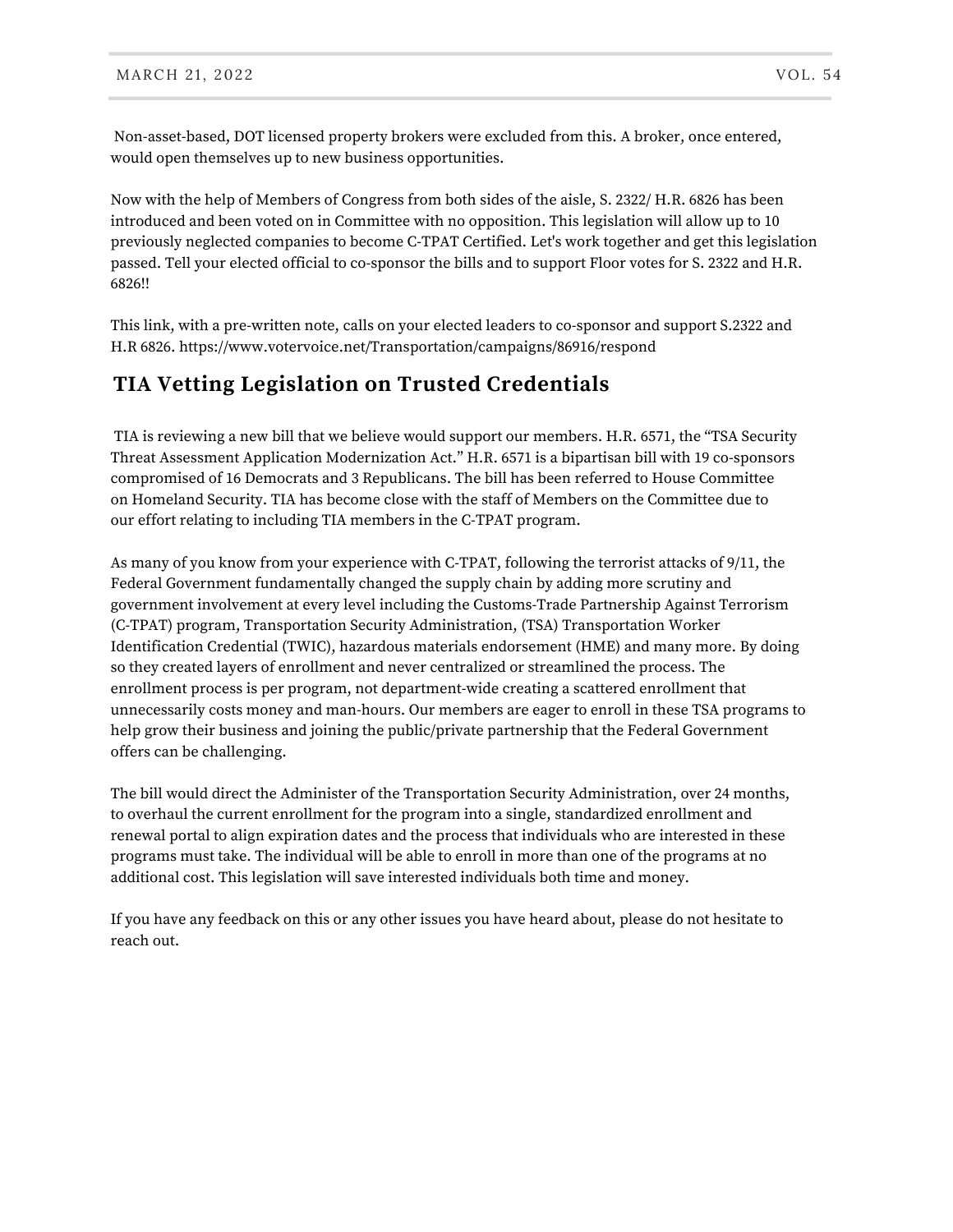Non-asset-based, DOT licensed property brokers were excluded from this. A broker, once entered, would open themselves up to new business opportunities.

Now with the help of Members of Congress from both sides of the aisle, S. 2322/ H.R. 6826 has been introduced and been voted on in Committee with no opposition. This legislation will allow up to 10 previously neglected companies to become C-TPAT Certified. Let's work together and get this legislation passed. Tell your elected official to co-sponsor the bills and to support Floor votes for S. 2322 and H.R. 6826!!

This link, with a pre-written note, calls on your elected leaders to co-sponsor and support S.2322 and H.R 6826. https://www.votervoice.net/Transportation/campaigns/86916/respond

## **TIA Vetting Legislation on Trusted Credentials**

TIA is reviewing a new bill that we believe would support our members. H.R. 6571, the "TSA Security Threat Assessment Application Modernization Act." H.R. 6571 is a bipartisan bill with 19 co-sponsors compromised of 16 Democrats and 3 Republicans. The bill has been referred to House Committee on Homeland Security. TIA has become close with the staff of Members on the Committee due to our effort relating to including TIA members in the C-TPAT program.

As many of you know from your experience with C-TPAT, following the terrorist attacks of 9/11, the Federal Government fundamentally changed the supply chain by adding more scrutiny and government involvement at every level including the Customs-Trade Partnership Against Terrorism (C-TPAT) program, Transportation Security Administration, (TSA) Transportation Worker Identification Credential (TWIC), hazardous materials endorsement (HME) and many more. By doing so they created layers of enrollment and never centralized or streamlined the process. The enrollment process is per program, not department-wide creating a scattered enrollment that unnecessarily costs money and man-hours. Our members are eager to enroll in these TSA programs to help grow their business and joining the public/private partnership that the Federal Government offers can be challenging.

The bill would direct the Administer of the Transportation Security Administration, over 24 months, to overhaul the current enrollment for the program into a single, standardized enrollment and renewal portal to align expiration dates and the process that individuals who are interested in these programs must take. The individual will be able to enroll in more than one of the programs at no additional cost. This legislation will save interested individuals both time and money.

If you have any feedback on this or any other issues you have heard about, please do not hesitate to reach out.